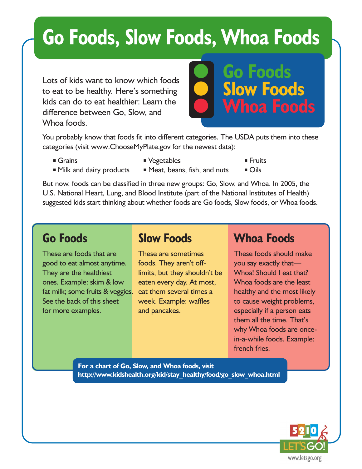# **Go Foods, Slow Foods, Whoa Foods**

Lots of kids want to know which foods to eat to be healthy. Here's something kids can do to eat healthier: Learn the difference between Go, Slow, and Whoa foods.



You probably know that foods fit into different categories. The USDA puts them into these categories (visit www.ChooseMyPlate.gov for the newest data):

- 
- Grains Vegetables Truits
	-
- Milk and dairy products Meat, beans, fish, and nuts Oils
- 

But now, foods can be classified in three new groups: Go, Slow, and Whoa. In 2005, the U.S. National Heart, Lung, and Blood Institute (part of the National Institutes of Health) suggested kids start thinking about whether foods are Go foods, Slow foods, or Whoa foods.

#### **Go Foods**

These are foods that are good to eat almost anytime. They are the healthiest ones. Example: skim & low fat milk; some fruits & veggies. See the back of this sheet for more examples.

### **Slow Foods**

These are sometimes foods. They aren't offlimits, but they shouldn't be eaten every day. At most, eat them several times a week. Example: waffles and pancakes.

### **Whoa Foods**

These foods should make you say exactly that— Whoa! Should I eat that? Whoa foods are the least healthy and the most likely to cause weight problems, especially if a person eats them all the time. That's why Whoa foods are oncein-a-while foods. Example: french fries.

**For a chart of Go, Slow, and Whoa foods, visit http://www.kidshealth.org/kid/stay\_healthy/food/go\_slow\_whoa.html**